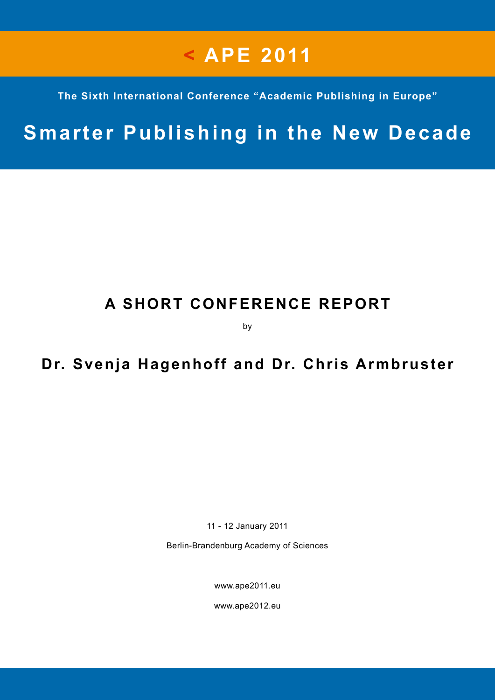# **< APE 2011**

**The Sixth International Conference "Academic Publishing in Europe"**

## **Smarter Publishing in the New Decade**

## **A SHORT CONFERENCE REPORT**

by

### **Dr. Svenja Hagenhoff and Dr. Chris Armbruster**

11 - 12 January 2011

Berlin-Brandenburg Academy of Sciences

[www.ape2011.eu](http://www.ape2011.eu)

www.ape2012.eu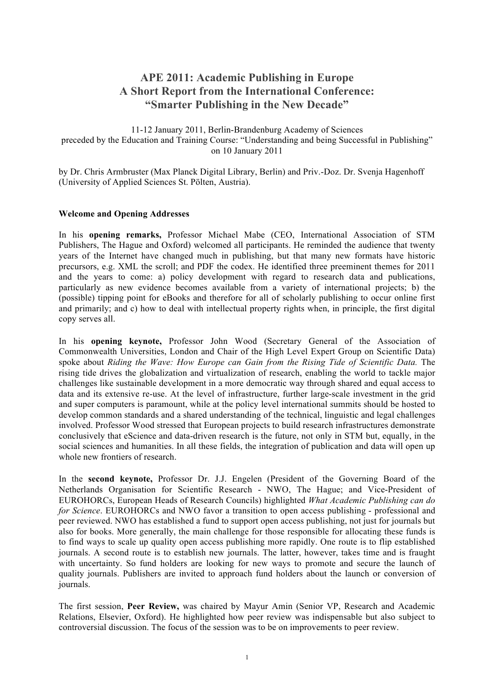#### **APE 2011: Academic Publishing in Europe A Short Report from the International Conference: "Smarter Publishing in the New Decade"**

11-12 January 2011, Berlin-Brandenburg Academy of Sciences preceded by the Education and Training Course: "Understanding and being Successful in Publishing" on 10 January 2011

by Dr. Chris Armbruster (Max Planck Digital Library, Berlin) and Priv.-Doz. Dr. Svenja Hagenhoff (University of Applied Sciences St. Pölten, Austria).

#### **Welcome and Opening Addresses**

In his **opening remarks,** Professor Michael Mabe (CEO, International Association of STM Publishers, The Hague and Oxford) welcomed all participants. He reminded the audience that twenty years of the Internet have changed much in publishing, but that many new formats have historic precursors, e.g. XML the scroll; and PDF the codex. He identified three preeminent themes for 2011 and the years to come: a) policy development with regard to research data and publications, particularly as new evidence becomes available from a variety of international projects; b) the (possible) tipping point for eBooks and therefore for all of scholarly publishing to occur online first and primarily; and c) how to deal with intellectual property rights when, in principle, the first digital copy serves all.

In his **opening keynote,** Professor John Wood (Secretary General of the Association of Commonwealth Universities, London and Chair of the High Level Expert Group on Scientific Data) spoke about *Riding the Wave: How Europe can Gain from the Rising Tide of Scientific Data.* The rising tide drives the globalization and virtualization of research, enabling the world to tackle major challenges like sustainable development in a more democratic way through shared and equal access to data and its extensive re-use. At the level of infrastructure, further large-scale investment in the grid and super computers is paramount, while at the policy level international summits should be hosted to develop common standards and a shared understanding of the technical, linguistic and legal challenges involved. Professor Wood stressed that European projects to build research infrastructures demonstrate conclusively that eScience and data-driven research is the future, not only in STM but, equally, in the social sciences and humanities. In all these fields, the integration of publication and data will open up whole new frontiers of research.

In the **second keynote,** Professor Dr. J.J. Engelen (President of the Governing Board of the Netherlands Organisation for Scientific Research - NWO, The Hague; and Vice-President of EUROHORCs, European Heads of Research Councils) highlighted *What Academic Publishing can do for Science*. EUROHORCs and NWO favor a transition to open access publishing - professional and peer reviewed. NWO has established a fund to support open access publishing, not just for journals but also for books. More generally, the main challenge for those responsible for allocating these funds is to find ways to scale up quality open access publishing more rapidly. One route is to flip established journals. A second route is to establish new journals. The latter, however, takes time and is fraught with uncertainty. So fund holders are looking for new ways to promote and secure the launch of quality journals. Publishers are invited to approach fund holders about the launch or conversion of journals.

The first session, **Peer Review,** was chaired by Mayur Amin (Senior VP, Research and Academic Relations, Elsevier, Oxford). He highlighted how peer review was indispensable but also subject to controversial discussion. The focus of the session was to be on improvements to peer review.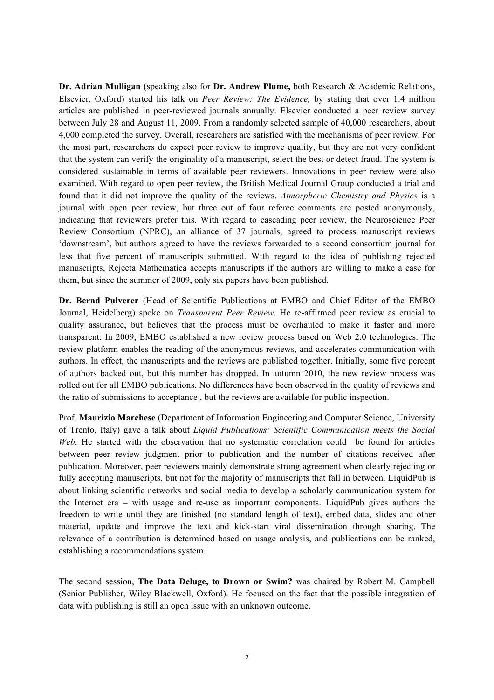**Dr. Adrian Mulligan** (speaking also for **Dr. Andrew Plume,** both Research & Academic Relations, Elsevier, Oxford) started his talk on *Peer Review: The Evidence,* by stating that over 1.4 million articles are published in peer-reviewed journals annually. Elsevier conducted a peer review survey between July 28 and August 11, 2009. From a randomly selected sample of 40,000 researchers, about 4,000 completed the survey. Overall, researchers are satisfied with the mechanisms of peer review. For the most part, researchers do expect peer review to improve quality, but they are not very confident that the system can verify the originality of a manuscript, select the best or detect fraud. The system is considered sustainable in terms of available peer reviewers. Innovations in peer review were also examined. With regard to open peer review, the British Medical Journal Group conducted a trial and found that it did not improve the quality of the reviews. *Atmospheric Chemistry and Physics* is a journal with open peer review, but three out of four referee comments are posted anonymously, indicating that reviewers prefer this. With regard to cascading peer review, the Neuroscience Peer Review Consortium (NPRC), an alliance of 37 journals, agreed to process manuscript reviews 'downstream', but authors agreed to have the reviews forwarded to a second consortium journal for less that five percent of manuscripts submitted. With regard to the idea of publishing rejected manuscripts, Rejecta Mathematica accepts manuscripts if the authors are willing to make a case for them, but since the summer of 2009, only six papers have been published.

**Dr. Bernd Pulverer** (Head of Scientific Publications at EMBO and Chief Editor of the EMBO Journal, Heidelberg) spoke on *Transparent Peer Review*. He re-affirmed peer review as crucial to quality assurance, but believes that the process must be overhauled to make it faster and more transparent. In 2009, EMBO established a new review process based on Web 2.0 technologies. The review platform enables the reading of the anonymous reviews, and accelerates communication with authors. In effect, the manuscripts and the reviews are published together. Initially, some five percent of authors backed out, but this number has dropped. In autumn 2010, the new review process was rolled out for all EMBO publications. No differences have been observed in the quality of reviews and the ratio of submissions to acceptance , but the reviews are available for public inspection.

Prof. **Maurizio Marchese** (Department of Information Engineering and Computer Science, University of Trento, Italy) gave a talk about *Liquid Publications: Scientific Communication meets the Social Web*. He started with the observation that no systematic correlation could be found for articles between peer review judgment prior to publication and the number of citations received after publication. Moreover, peer reviewers mainly demonstrate strong agreement when clearly rejecting or fully accepting manuscripts, but not for the majority of manuscripts that fall in between. LiquidPub is about linking scientific networks and social media to develop a scholarly communication system for the Internet era – with usage and re-use as important components. LiquidPub gives authors the freedom to write until they are finished (no standard length of text), embed data, slides and other material, update and improve the text and kick-start viral dissemination through sharing. The relevance of a contribution is determined based on usage analysis, and publications can be ranked, establishing a recommendations system.

The second session, **The Data Deluge, to Drown or Swim?** was chaired by Robert M. Campbell (Senior Publisher, Wiley Blackwell, Oxford). He focused on the fact that the possible integration of data with publishing is still an open issue with an unknown outcome.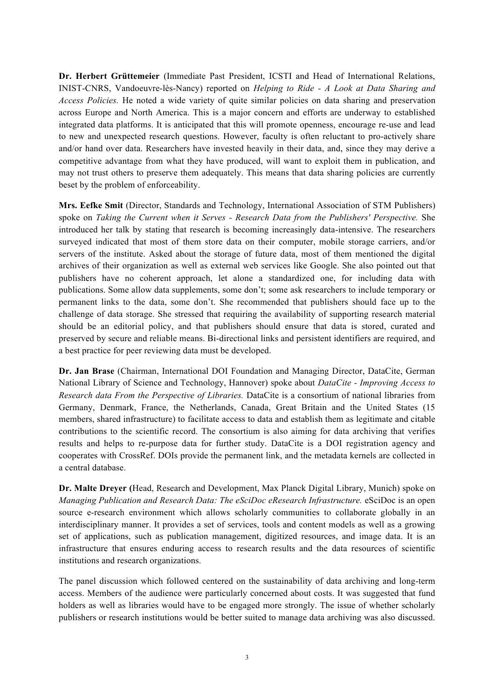**Dr. Herbert Grüttemeier** (Immediate Past President, ICSTI and Head of International Relations, INIST-CNRS, Vandoeuvre-lès-Nancy) reported on *Helping to Ride - A Look at Data Sharing and Access Policies.* He noted a wide variety of quite similar policies on data sharing and preservation across Europe and North America. This is a major concern and efforts are underway to established integrated data platforms. It is anticipated that this will promote openness, encourage re-use and lead to new and unexpected research questions. However, faculty is often reluctant to pro-actively share and/or hand over data. Researchers have invested heavily in their data, and, since they may derive a competitive advantage from what they have produced, will want to exploit them in publication, and may not trust others to preserve them adequately. This means that data sharing policies are currently beset by the problem of enforceability.

**Mrs. Eefke Smit** (Director, Standards and Technology, International Association of STM Publishers) spoke on *Taking the Current when it Serves - Research Data from the Publishers' Perspective.* She introduced her talk by stating that research is becoming increasingly data-intensive. The researchers surveyed indicated that most of them store data on their computer, mobile storage carriers, and/or servers of the institute. Asked about the storage of future data, most of them mentioned the digital archives of their organization as well as external web services like Google. She also pointed out that publishers have no coherent approach, let alone a standardized one, for including data with publications. Some allow data supplements, some don't; some ask researchers to include temporary or permanent links to the data, some don't. She recommended that publishers should face up to the challenge of data storage. She stressed that requiring the availability of supporting research material should be an editorial policy, and that publishers should ensure that data is stored, curated and preserved by secure and reliable means. Bi-directional links and persistent identifiers are required, and a best practice for peer reviewing data must be developed.

**Dr. Jan Brase** (Chairman, International DOI Foundation and Managing Director, DataCite, German National Library of Science and Technology, Hannover) spoke about *DataCite - Improving Access to Research data From the Perspective of Libraries.* DataCite is a consortium of national libraries from Germany, Denmark, France, the Netherlands, Canada, Great Britain and the United States (15 members, shared infrastructure) to facilitate access to data and establish them as legitimate and citable contributions to the scientific record. The consortium is also aiming for data archiving that verifies results and helps to re-purpose data for further study. DataCite is a DOI registration agency and cooperates with CrossRef. DOIs provide the permanent link, and the metadata kernels are collected in a central database.

**Dr. Malte Dreyer (**Head, Research and Development, Max Planck Digital Library, Munich) spoke on *Managing Publication and Research Data: The eSciDoc eResearch Infrastructure.* eSciDoc is an open source e-research environment which allows scholarly communities to collaborate globally in an interdisciplinary manner. It provides a set of services, tools and content models as well as a growing set of applications, such as publication management, digitized resources, and image data. It is an infrastructure that ensures enduring access to research results and the data resources of scientific institutions and research organizations.

The panel discussion which followed centered on the sustainability of data archiving and long-term access. Members of the audience were particularly concerned about costs. It was suggested that fund holders as well as libraries would have to be engaged more strongly. The issue of whether scholarly publishers or research institutions would be better suited to manage data archiving was also discussed.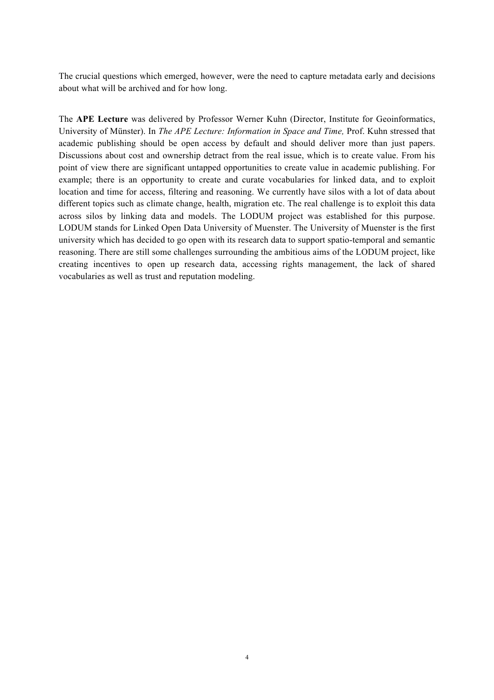The crucial questions which emerged, however, were the need to capture metadata early and decisions about what will be archived and for how long.

The **APE Lecture** was delivered by Professor Werner Kuhn (Director, Institute for Geoinformatics, University of Münster). In *The APE Lecture: Information in Space and Time,* Prof. Kuhn stressed that academic publishing should be open access by default and should deliver more than just papers. Discussions about cost and ownership detract from the real issue, which is to create value. From his point of view there are significant untapped opportunities to create value in academic publishing. For example; there is an opportunity to create and curate vocabularies for linked data, and to exploit location and time for access, filtering and reasoning. We currently have silos with a lot of data about different topics such as climate change, health, migration etc. The real challenge is to exploit this data across silos by linking data and models. The LODUM project was established for this purpose. LODUM stands for Linked Open Data University of Muenster. The University of Muenster is the first university which has decided to go open with its research data to support spatio-temporal and semantic reasoning. There are still some challenges surrounding the ambitious aims of the LODUM project, like creating incentives to open up research data, accessing rights management, the lack of shared vocabularies as well as trust and reputation modeling.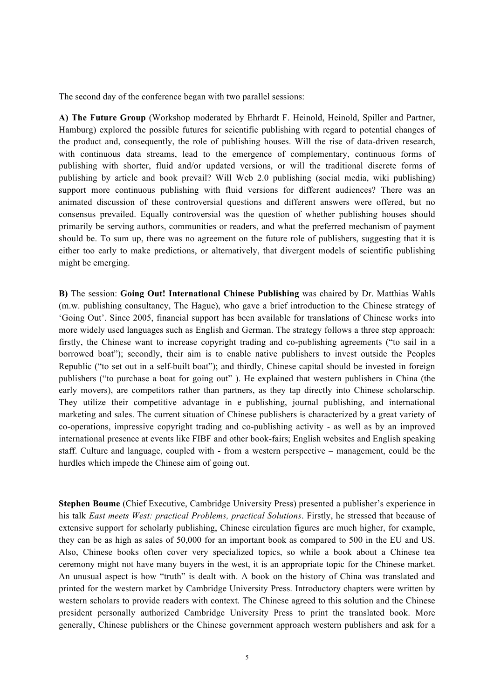The second day of the conference began with two parallel sessions:

**A) The Future Group** (Workshop moderated by Ehrhardt F. Heinold, Heinold, Spiller and Partner, Hamburg) explored the possible futures for scientific publishing with regard to potential changes of the product and, consequently, the role of publishing houses. Will the rise of data-driven research, with continuous data streams, lead to the emergence of complementary, continuous forms of publishing with shorter, fluid and/or updated versions, or will the traditional discrete forms of publishing by article and book prevail? Will Web 2.0 publishing (social media, wiki publishing) support more continuous publishing with fluid versions for different audiences? There was an animated discussion of these controversial questions and different answers were offered, but no consensus prevailed. Equally controversial was the question of whether publishing houses should primarily be serving authors, communities or readers, and what the preferred mechanism of payment should be. To sum up, there was no agreement on the future role of publishers, suggesting that it is either too early to make predictions, or alternatively, that divergent models of scientific publishing might be emerging.

**B)** The session: **Going Out! International Chinese Publishing** was chaired by Dr. Matthias Wahls (m.w. publishing consultancy, The Hague), who gave a brief introduction to the Chinese strategy of 'Going Out'. Since 2005, financial support has been available for translations of Chinese works into more widely used languages such as English and German. The strategy follows a three step approach: firstly, the Chinese want to increase copyright trading and co-publishing agreements ("to sail in a borrowed boat"); secondly, their aim is to enable native publishers to invest outside the Peoples Republic ("to set out in a self-built boat"); and thirdly, Chinese capital should be invested in foreign publishers ("to purchase a boat for going out" ). He explained that western publishers in China (the early movers), are competitors rather than partners, as they tap directly into Chinese scholarschip. They utilize their competitive advantage in e–publishing, journal publishing, and international marketing and sales. The current situation of Chinese publishers is characterized by a great variety of co-operations, impressive copyright trading and co-publishing activity - as well as by an improved international presence at events like FIBF and other book-fairs; English websites and English speaking staff. Culture and language, coupled with - from a western perspective – management, could be the hurdles which impede the Chinese aim of going out.

**Stephen Boume** (Chief Executive, Cambridge University Press) presented a publisher's experience in his talk *East meets West: practical Problems, practical Solutions*. Firstly, he stressed that because of extensive support for scholarly publishing, Chinese circulation figures are much higher, for example, they can be as high as sales of 50,000 for an important book as compared to 500 in the EU and US. Also, Chinese books often cover very specialized topics, so while a book about a Chinese tea ceremony might not have many buyers in the west, it is an appropriate topic for the Chinese market. An unusual aspect is how "truth" is dealt with. A book on the history of China was translated and printed for the western market by Cambridge University Press. Introductory chapters were written by western scholars to provide readers with context. The Chinese agreed to this solution and the Chinese president personally authorized Cambridge University Press to print the translated book. More generally, Chinese publishers or the Chinese government approach western publishers and ask for a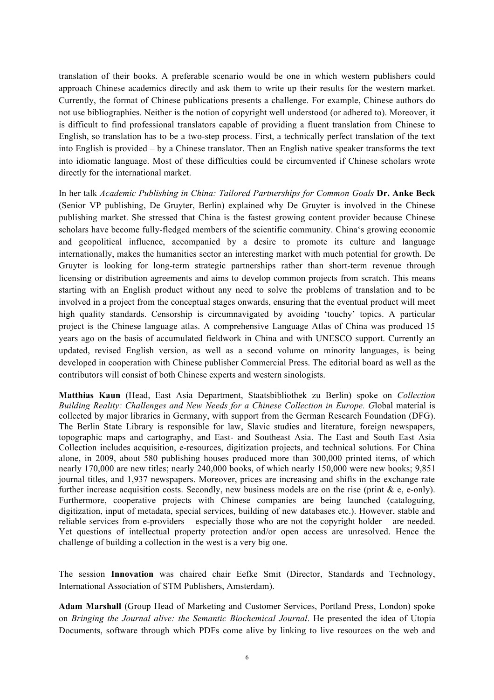translation of their books. A preferable scenario would be one in which western publishers could approach Chinese academics directly and ask them to write up their results for the western market. Currently, the format of Chinese publications presents a challenge. For example, Chinese authors do not use bibliographies. Neither is the notion of copyright well understood (or adhered to). Moreover, it is difficult to find professional translators capable of providing a fluent translation from Chinese to English, so translation has to be a two-step process. First, a technically perfect translation of the text into English is provided – by a Chinese translator. Then an English native speaker transforms the text into idiomatic language. Most of these difficulties could be circumvented if Chinese scholars wrote directly for the international market.

In her talk *Academic Publishing in China: Tailored Partnerships for Common Goals* **Dr. Anke Beck**  (Senior VP publishing, De Gruyter, Berlin) explained why De Gruyter is involved in the Chinese publishing market. She stressed that China is the fastest growing content provider because Chinese scholars have become fully-fledged members of the scientific community. China's growing economic and geopolitical influence, accompanied by a desire to promote its culture and language internationally, makes the humanities sector an interesting market with much potential for growth. De Gruyter is looking for long-term strategic partnerships rather than short-term revenue through licensing or distribution agreements and aims to develop common projects from scratch. This means starting with an English product without any need to solve the problems of translation and to be involved in a project from the conceptual stages onwards, ensuring that the eventual product will meet high quality standards. Censorship is circumnavigated by avoiding 'touchy' topics. A particular project is the Chinese language atlas. A comprehensive Language Atlas of China was produced 15 years ago on the basis of accumulated fieldwork in China and with UNESCO support. Currently an updated, revised English version, as well as a second volume on minority languages, is being developed in cooperation with Chinese publisher Commercial Press. The editorial board as well as the contributors will consist of both Chinese experts and western sinologists.

**Matthias Kaun** (Head, East Asia Department, Staatsbibliothek zu Berlin) spoke on *Collection Building Reality: Challenges and New Needs for a Chinese Collection in Europe. G*lobal material is collected by major libraries in Germany, with support from the German Research Foundation (DFG). The Berlin State Library is responsible for law, Slavic studies and literature, foreign newspapers, topographic maps and cartography, and East- and Southeast Asia. The East and South East Asia Collection includes acquisition, e-resources, digitization projects, and technical solutions. For China alone, in 2009, about 580 publishing houses produced more than 300,000 printed items, of which nearly 170,000 are new titles; nearly 240,000 books, of which nearly 150,000 were new books; 9,851 journal titles, and 1,937 newspapers. Moreover, prices are increasing and shifts in the exchange rate further increase acquisition costs. Secondly, new business models are on the rise (print  $\&$  e, e-only). Furthermore, cooperative projects with Chinese companies are being launched (cataloguing, digitization, input of metadata, special services, building of new databases etc.). However, stable and reliable services from e-providers – especially those who are not the copyright holder – are needed. Yet questions of intellectual property protection and/or open access are unresolved. Hence the challenge of building a collection in the west is a very big one.

The session **Innovation** was chaired chair Eefke Smit (Director, Standards and Technology, International Association of STM Publishers, Amsterdam).

**Adam Marshall** (Group Head of Marketing and Customer Services, Portland Press, London) spoke on *Bringing the Journal alive: the Semantic Biochemical Journal*. He presented the idea of Utopia Documents, software through which PDFs come alive by linking to live resources on the web and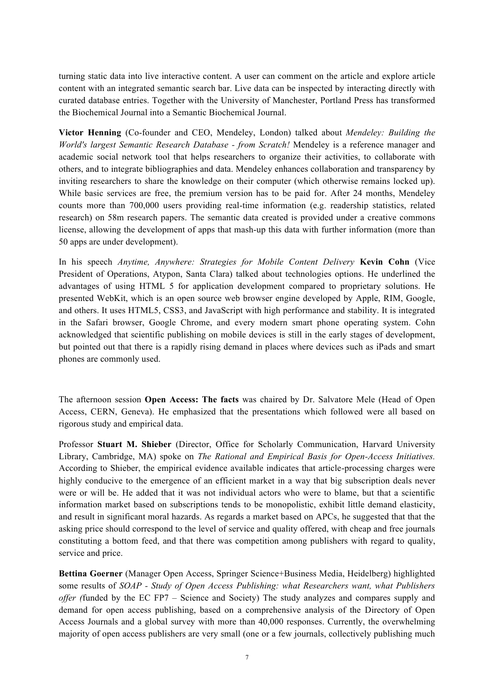turning static data into live interactive content. A user can comment on the article and explore article content with an integrated semantic search bar. Live data can be inspected by interacting directly with curated database entries. Together with the University of Manchester, Portland Press has transformed the Biochemical Journal into a Semantic Biochemical Journal.

**Victor Henning** (Co-founder and CEO, Mendeley, London) talked about *Mendeley: Building the World's largest Semantic Research Database - from Scratch!* Mendeley is a reference manager and academic social network tool that helps researchers to organize their activities, to collaborate with others, and to integrate bibliographies and data. Mendeley enhances collaboration and transparency by inviting researchers to share the knowledge on their computer (which otherwise remains locked up). While basic services are free, the premium version has to be paid for. After 24 months, Mendeley counts more than 700,000 users providing real-time information (e.g. readership statistics, related research) on 58m research papers. The semantic data created is provided under a creative commons license, allowing the development of apps that mash-up this data with further information (more than 50 apps are under development).

In his speech *Anytime, Anywhere: Strategies for Mobile Content Delivery* **Kevin Cohn** (Vice President of Operations, Atypon, Santa Clara) talked about technologies options. He underlined the advantages of using HTML 5 for application development compared to proprietary solutions. He presented WebKit, which is an open source web browser engine developed by Apple, RIM, Google, and others. It uses HTML5, CSS3, and JavaScript with high performance and stability. It is integrated in the Safari browser, Google Chrome, and every modern smart phone operating system. Cohn acknowledged that scientific publishing on mobile devices is still in the early stages of development, but pointed out that there is a rapidly rising demand in places where devices such as iPads and smart phones are commonly used.

The afternoon session **Open Access: The facts** was chaired by Dr. Salvatore Mele (Head of Open Access, CERN, Geneva). He emphasized that the presentations which followed were all based on rigorous study and empirical data.

Professor **Stuart M. Shieber** (Director, Office for Scholarly Communication, Harvard University Library, Cambridge, MA) spoke on *The Rational and Empirical Basis for Open-Access Initiatives.* According to Shieber, the empirical evidence available indicates that article-processing charges were highly conducive to the emergence of an efficient market in a way that big subscription deals never were or will be. He added that it was not individual actors who were to blame, but that a scientific information market based on subscriptions tends to be monopolistic, exhibit little demand elasticity, and result in significant moral hazards. As regards a market based on APCs, he suggested that that the asking price should correspond to the level of service and quality offered, with cheap and free journals constituting a bottom feed, and that there was competition among publishers with regard to quality, service and price.

**Bettina Goerner** (Manager Open Access, Springer Science+Business Media, Heidelberg) highlighted some results of *SOAP - Study of Open Access Publishing: what Researchers want, what Publishers offer (*funded by the EC FP7 – Science and Society) The study analyzes and compares supply and demand for open access publishing, based on a comprehensive analysis of the Directory of Open Access Journals and a global survey with more than 40,000 responses. Currently, the overwhelming majority of open access publishers are very small (one or a few journals, collectively publishing much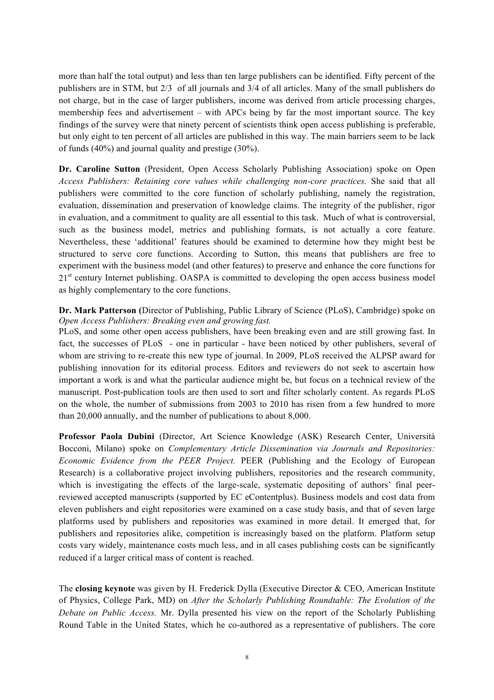more than half the total output) and less than ten large publishers can be identified. Fifty percent of the publishers are in STM, but 2/3 of all journals and 3/4 of all articles. Many of the small publishers do not charge, but in the case of larger publishers, income was derived from article processing charges, membership fees and advertisement – with APCs being by far the most important source. The key findings of the survey were that ninety percent of scientists think open access publishing is preferable, but only eight to ten percent of all articles are published in this way. The main barriers seem to be lack of funds (40%) and journal quality and prestige (30%).

**Dr. Caroline Sutton** (President, Open Access Scholarly Publishing Association) spoke on Open *Access Publishers: Retaining core values while challenging non-core practices.* She said that all publishers were committed to the core function of scholarly publishing, namely the registration, evaluation, dissemination and preservation of knowledge claims. The integrity of the publisher, rigor in evaluation, and a commitment to quality are all essential to this task. Much of what is controversial, such as the business model, metrics and publishing formats, is not actually a core feature. Nevertheless, these 'additional' features should be examined to determine how they might best be structured to serve core functions. According to Sutton, this means that publishers are free to experiment with the business model (and other features) to preserve and enhance the core functions for  $21<sup>st</sup>$  century Internet publishing. OASPA is committed to developing the open access business model as highly complementary to the core functions.

**Dr. Mark Patterson (**Director of Publishing, Public Library of Science (PLoS), Cambridge) spoke on *Open Access Publishers: Breaking even and growing fast.* 

PLoS, and some other open access publishers, have been breaking even and are still growing fast. In fact, the successes of PLoS - one in particular - have been noticed by other publishers, several of whom are striving to re-create this new type of journal. In 2009, PLoS received the ALPSP award for publishing innovation for its editorial process. Editors and reviewers do not seek to ascertain how important a work is and what the particular audience might be, but focus on a technical review of the manuscript. Post-publication tools are then used to sort and filter scholarly content. As regards PLoS on the whole, the number of submissions from 2003 to 2010 has risen from a few hundred to more than 20,000 annually, and the number of publications to about 8,000.

**Professor Paola Dubini** (Director, Art Science Knowledge (ASK) Research Center, Università Bocconi, Milano) spoke on *Complementary Article Dissemination via Journals and Repositories: Economic Evidence from the PEER Project.* PEER (Publishing and the Ecology of European Research) is a collaborative project involving publishers, repositories and the research community, which is investigating the effects of the large-scale, systematic depositing of authors' final peerreviewed accepted manuscripts (supported by EC eContentplus). Business models and cost data from eleven publishers and eight repositories were examined on a case study basis, and that of seven large platforms used by publishers and repositories was examined in more detail. It emerged that, for publishers and repositories alike, competition is increasingly based on the platform. Platform setup costs vary widely, maintenance costs much less, and in all cases publishing costs can be significantly reduced if a larger critical mass of content is reached.

The **closing keynote** was given by H. Frederick Dylla (Executive Director & CEO, American Institute of Physics, College Park, MD) on *After the Scholarly Publishing Roundtable: The Evolution of the Debate on Public Access.* Mr. Dylla presented his view on the report of the Scholarly Publishing Round Table in the United States, which he co-authored as a representative of publishers. The core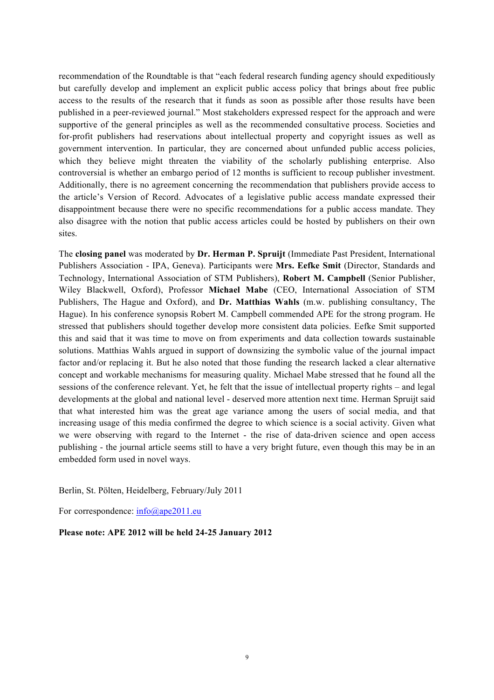recommendation of the Roundtable is that "each federal research funding agency should expeditiously but carefully develop and implement an explicit public access policy that brings about free public access to the results of the research that it funds as soon as possible after those results have been published in a peer-reviewed journal." Most stakeholders expressed respect for the approach and were supportive of the general principles as well as the recommended consultative process. Societies and for-profit publishers had reservations about intellectual property and copyright issues as well as government intervention. In particular, they are concerned about unfunded public access policies, which they believe might threaten the viability of the scholarly publishing enterprise. Also controversial is whether an embargo period of 12 months is sufficient to recoup publisher investment. Additionally, there is no agreement concerning the recommendation that publishers provide access to the article's Version of Record. Advocates of a legislative public access mandate expressed their disappointment because there were no specific recommendations for a public access mandate. They also disagree with the notion that public access articles could be hosted by publishers on their own sites.

The **closing panel** was moderated by **Dr. Herman P. Spruijt** (Immediate Past President, International Publishers Association - IPA, Geneva). Participants were **Mrs. Eefke Smit** (Director, Standards and Technology, International Association of STM Publishers), **Robert M. Campbell** (Senior Publisher, Wiley Blackwell, Oxford), Professor **Michael Mabe** (CEO, International Association of STM Publishers, The Hague and Oxford), and **Dr. Matthias Wahls** (m.w. publishing consultancy, The Hague). In his conference synopsis Robert M. Campbell commended APE for the strong program. He stressed that publishers should together develop more consistent data policies. Eefke Smit supported this and said that it was time to move on from experiments and data collection towards sustainable solutions. Matthias Wahls argued in support of downsizing the symbolic value of the journal impact factor and/or replacing it. But he also noted that those funding the research lacked a clear alternative concept and workable mechanisms for measuring quality. Michael Mabe stressed that he found all the sessions of the conference relevant. Yet, he felt that the issue of intellectual property rights – and legal developments at the global and national level - deserved more attention next time. Herman Spruijt said that what interested him was the great age variance among the users of social media, and that increasing usage of this media confirmed the degree to which science is a social activity. Given what we were observing with regard to the Internet - the rise of data-driven science and open access publishing - the journal article seems still to have a very bright future, even though this may be in an embedded form used in novel ways.

Berlin, St. Pölten, Heidelberg, February/July 2011

For correspondence:  $info@ape2011.eu$ 

**Please note: APE 2012 will be held 24-25 January 2012**